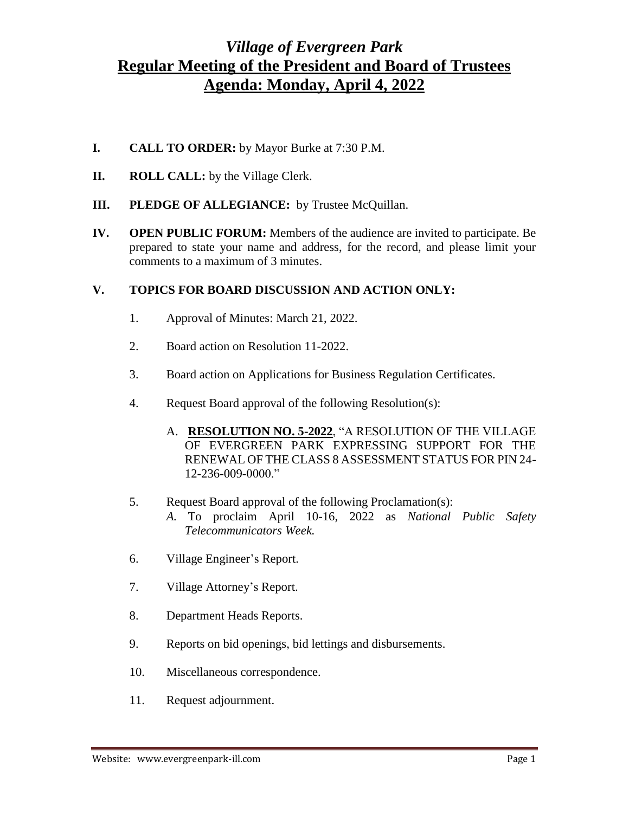## *Village of Evergreen Park* **Regular Meeting of the President and Board of Trustees Agenda: Monday, April 4, 2022**

- **I. CALL TO ORDER:** by Mayor Burke at 7:30 P.M.
- **II. ROLL CALL:** by the Village Clerk.
- **III. PLEDGE OF ALLEGIANCE:** by Trustee McQuillan.
- **IV. OPEN PUBLIC FORUM:** Members of the audience are invited to participate. Be prepared to state your name and address, for the record, and please limit your comments to a maximum of 3 minutes.

## **V. TOPICS FOR BOARD DISCUSSION AND ACTION ONLY:**

- 1. Approval of Minutes: March 21, 2022.
- 2. Board action on Resolution 11-2022.
- 3. Board action on Applications for Business Regulation Certificates.
- 4. Request Board approval of the following Resolution(s):
	- A. **RESOLUTION NO. 5-2022**, "A RESOLUTION OF THE VILLAGE OF EVERGREEN PARK EXPRESSING SUPPORT FOR THE RENEWAL OF THE CLASS 8 ASSESSMENT STATUS FOR PIN 24- 12-236-009-0000."
- 5. Request Board approval of the following Proclamation(s):
	- *A.* To proclaim April 10-16, 2022 as *National Public Safety Telecommunicators Week.*
- 6. Village Engineer's Report.
- 7. Village Attorney's Report.
- 8. Department Heads Reports.
- 9. Reports on bid openings, bid lettings and disbursements.
- 10. Miscellaneous correspondence.
- 11. Request adjournment.